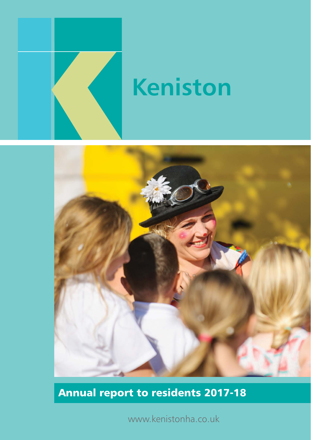

# **Keniston**



## Annual report to residents 2017-18

www.kenistonha.co.uk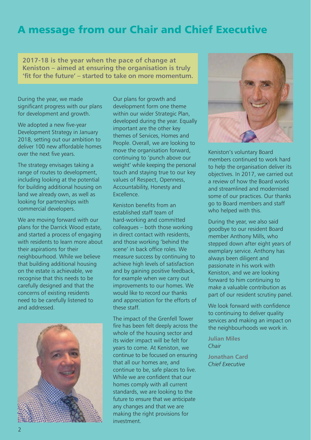## A message from our Chair and Chief Executive

**2017-18 is the year when the pace of change at Keniston – aimed at ensuring the organisation is truly 'fit for the future' – started to take on more momentum.**

During the year, we made significant progress with our plans for development and growth.

We adopted a new five-year Development Strategy in January 2018, setting out our ambition to deliver 100 new affordable homes over the next five years.

The strategy envisages taking a range of routes to development, including looking at the potential for building additional housing on land we already own, as well as looking for partnerships with commercial developers.

We are moving forward with our plans for the Darrick Wood estate, and started a process of engaging with residents to learn more about their aspirations for their neighbourhood. While we believe that building additional housing on the estate is achievable, we recognise that this needs to be carefully designed and that the concerns of existing residents need to be carefully listened to and addressed.



Our plans for growth and development form one theme within our wider Strategic Plan, developed during the year. Equally important are the other key themes of Services, Homes and People. Overall, we are looking to move the organisation forward, continuing to 'punch above our weight' while keeping the personal touch and staying true to our key values of Respect, Openness, Accountability, Honesty and **Excellence** 

Keniston benefits from an established staff team of hard-working and committed colleagues – both those working in direct contact with residents, and those working 'behind the scene' in back office roles. We measure success by continuing to achieve high levels of satisfaction and by gaining positive feedback, for example when we carry out improvements to our homes. We would like to record our thanks and appreciation for the efforts of these staff.

The impact of the Grenfell Tower fire has been felt deeply across the whole of the housing sector and its wider impact will be felt for years to come. At Keniston, we continue to be focused on ensuring that all our homes are, and continue to be, safe places to live. While we are confident that our homes comply with all current standards, we are looking to the future to ensure that we anticipate any changes and that we are making the right provisions for investment.



Keniston's voluntary Board members continued to work hard to help the organisation deliver its objectives. In 2017, we carried out a review of how the Board works and streamlined and modernised some of our practices. Our thanks go to Board members and staff who helped with this.

During the year, we also said goodbye to our resident Board member Anthony Mills, who stepped down after eight years of exemplary service. Anthony has always been diligent and passionate in his work with Keniston, and we are looking forward to him continuing to make a valuable contribution as part of our resident scrutiny panel.

We look forward with confidence to continuing to deliver quality services and making an impact on the neighbourhoods we work in.

**Julian Miles** *Chair*

**Jonathan Card** *Chief Executive*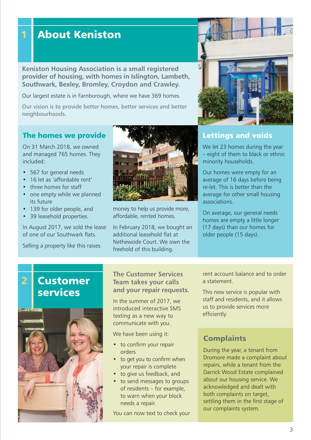## 1 About Keniston

**Keniston Housing Association is a small registered provider of housing, with homes in Islington, Lambeth, Southwark, Bexley, Bromley, Croydon and Crawley.**

Our largest estate is in Farnborough, where we have 369 homes.

Our vision is to provide better homes, better services and better neighbourhoods.

#### The homes we provide

On 31 March 2018, we owned and managed 765 homes. They included:

- 567 for general needs
- 16 let as 'affordable rent'
- three homes for staff
- one empty while we planned its future
- 139 for older people, and
- 39 leasehold properties.

In August 2017, we sold the lease of one of our Southwark flats.

Selling a property like this raises



money to help us provide more, affordable, rented homes.

In February 2018, we bought an additional leasehold flat at Nethewode Court. We own the freehold of this building.



We let 23 homes during the year – eight of them to black or ethnic minority households.

Our homes were empty for an average of 16 days before being re-let. This is better than the average for other small housing associations.

On average, our general needs homes are empty a little longer (17 days) than our homes for older people (15 days).

## Customer services

2



#### **The Customer Services Team takes your calls and your repair requests.**

In the summer of 2017, we introduced interactive SMS texting as a new way to communicate with you.

We have been using it:

- to confirm your repair orders
- to get you to confirm when your repair is complete
- to give us feedback, and
- to send messages to groups of residents – for example, to warn when your block needs a repair.

You can now text to check your

rent account balance and to order a statement.

This new service is popular with staff and residents, and it allows us to provide services more efficiently.

#### **Complaints**

During the year, a tenant from Dromore made a complaint about repairs, while a tenant from the Darrick Wood Estate complained about our housing service. We acknowledged and dealt with both complaints on target, settling them in the first stage of our complaints system.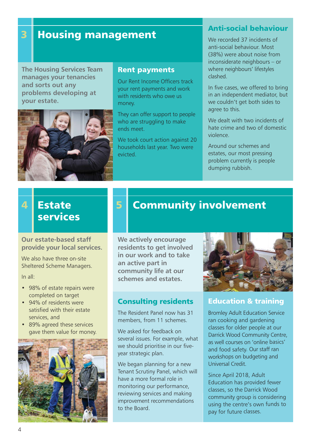## **3** Housing management

**The Housing Services Team manages your tenancies and sorts out any problems developing at your estate.**



#### Rent payments

Our Rent Income Officers track your rent payments and work with residents who owe us money.

They can offer support to people who are struggling to make ends meet.

We took court action against 20 households last year. Two were evicted.

#### Anti-social behaviour

We recorded 37 incidents of anti-social behaviour. Most (38%) were about noise from inconsiderate neighbours – or where neighbours' lifestyles clashed.

In five cases, we offered to bring in an independent mediator, but we couldn't get both sides to agree to this.

We dealt with two incidents of hate crime and two of domestic violence.

Around our schemes and estates, our most pressing problem currently is people dumping rubbish.

#### **Estate** services 4

#### **Our estate-based staff provide your local services.**

We also have three on-site Sheltered Scheme Managers.

In all:

- 98% of estate repairs were completed on target
- 94% of residents were satisfied with their estate services, and
- 89% agreed these services gave them value for money.



## **5** Community involvement

**We actively encourage residents to get involved in our work and to take an active part in community life at our schemes and estates.**

#### Consulting residents

The Resident Panel now has 31 members, from 11 schemes.

We asked for feedback on several issues. For example, what we should prioritise in our fiveyear strategic plan.

We began planning for a new Tenant Scrutiny Panel, which will have a more formal role in monitoring our performance, reviewing services and making improvement recommendations to the Board.



#### Education & training

Bromley Adult Education Service ran cooking and gardening classes for older people at our Darrick Wood Community Centre, as well courses on 'online basics' and food safety. Our staff ran workshops on budgeting and Universal Credit.

Since April 2018, Adult Education has provided fewer classes, so the Darrick Wood community group is considering using the centre's own funds to pay for future classes.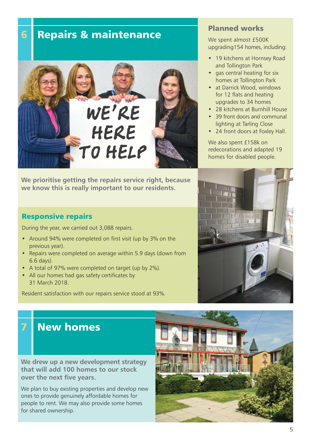**6 Repairs & maintenance** 



**We prioritise getting the repairs service right, because we know this is really important to our residents.**

#### Responsive repairs

During the year, we carried out 3,088 repairs.

- Around 94% were completed on first visit (up by 3% on the previous year).
- Repairs were completed on average within 5.9 days (down from 6.6 days).
- A total of 97% were completed on target (up by 2%).
- All our homes had gas safety certificates by 31 March 2018.

Resident satisfaction with our repairs service stood at 93%.

#### Planned works

We spent almost £500K upgrading154 homes, including:

- 19 kitchens at Hornsey Road and Tollington Park
- gas central heating for six homes at Tollington Park
- at Darrick Wood, windows for 12 flats and heating upgrades to 34 homes
- 28 kitchens at Burnhill House
- 39 front doors and communal lighting at Tarling Close
- 24 front doors at Foxley Hall.

We also spent £158k on redecorations and adapted 19 homes for disabled people.



## **New homes**

**We drew up a new development strategy that will add 100 homes to our stock over the next five years.**

We plan to buy existing properties and develop new ones to provide genuinely affordable homes for people to rent. We may also provide some homes for shared ownership.



5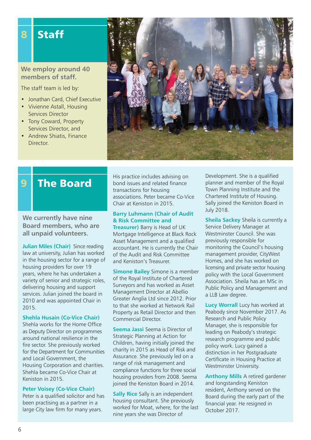## 8 Staff

**We employ around 40 members of staff.** 

The staff team is led by:

- Jonathan Card, Chief Executive
- Vivienne Astall, Housing Services Director
- Tony Coward, Property Services Director, and
- Andrew Shiatis, Finance Director.



## **9** The Board

**We currently have nine Board members, who are all unpaid volunteers.**

**Julian Miles (Chair)** Since reading law at university, Julian has worked in the housing sector for a range of housing providers for over 19 years, where he has undertaken a variety of senior and strategic roles, delivering housing and support services. Julian joined the board in 2010 and was appointed Chair in 2015.

#### **Shehla Husain (Co-Vice Chair)**

Shehla works for the Home Office as Deputy Director on programmes around national resilience in the fire sector. She previously worked for the Department for Communities and Local Government, the Housing Corporation and charities. Shehla became Co-Vice Chair at Keniston in 2015.

#### **Peter Voisey (Co-Vice Chair)**

Peter is a qualified solicitor and has been practising as a partner in a large City law firm for many years.

His practice includes advising on bond issues and related finance transactions for housing associations. Peter became Co-Vice Chair at Keniston in 2015.

#### **Barry Luhmann (Chair of Audit & Risk Committee and**

**Treasurer)** Barry is Head of UK Mortgage Intelligence at Black Rock Asset Management and a qualified accountant. He is currently the Chair of the Audit and Risk Committee and Keniston's Treasurer.

**Simone Bailey** Simone is a member of the Royal Institute of Chartered Surveyors and has worked as Asset Management Director at Abellio Greater Anglia Ltd since 2012. Prior to that she worked at Network Rail Property as Retail Director and then Commercial Director.

**Seema Jassi** Seema is Director of Strategic Planning at Action for Children, having initially joined the charity in 2015 as Head of Risk and Assurance. She previously led on a range of risk management and compliance functions for three social housing providers from 2008. Seema joined the Keniston Board in 2014.

**Sally Rice Sally is an independent** housing consultant. She previously worked for Moat, where, for the last nine years she was Director of

Development. She is a qualified planner and member of the Royal Town Planning Institute and the Chartered Institute of Housing. Sally joined the Keniston Board in July 2018.

**Sheila Sackey** Sheila is currently a Service Delivery Manager at Westminster Council. She was previously responsible for monitoring the Council's housing management provider, CityWest Homes, and she has worked on licensing and private sector housing policy with the Local Government Association. Sheila has an MSc in Public Policy and Management and a LLB Law degree.

**Lucy Worrall** Lucy has worked at Peabody since November 2017. As Research and Public Policy Manager, she is responsible for leading on Peabody's strategic research programme and public policy work. Lucy gained a distinction in her Postgraduate Certificate in Housing Practice at Westminster University.

**Anthony Mills** A retired gardener and longstanding Keniston resident, Anthony served on the Board during the early part of the financial year. He resigned in October 2017.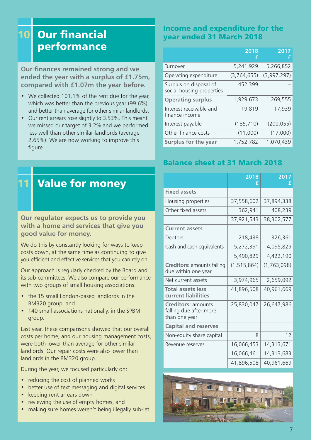#### Our financial performance 10

**Our finances remained strong and we ended the year with a surplus of £1.75m, compared with £1.07m the year before.**

- We collected 101.1% of the rent due for the year, which was better than the previous year (99.6%), and better than average for other similar landlords.
- Our rent arrears rose slightly to 3.53%. This meant we missed our target of 3.2% and we performed less well than other similar landlords (average 2.65%). We are now working to improve this figure.

### Income and expenditure for the year ended 31 March 2018

|                                                     | 2018<br>÷   | 2017        |
|-----------------------------------------------------|-------------|-------------|
| Turnover                                            | 5,241,929   | 5,266,852   |
| Operating expenditure                               | (3,764,655) | (3,997,297) |
| Surplus on disposal of<br>social housing properties | 452,399     |             |
| <b>Operating surplus</b>                            | 1,929,673   | 1,269,555   |
| Interest receivable and<br>finance income           | 19,819      | 17,939      |
| Interest payable                                    | (185, 710)  | (200, 055)  |
| Other finance costs                                 | (11,000)    | (17,000)    |
| Surplus for the year                                | 1,752,782   | 1,070,439   |

#### Balance sheet at 31 March 2018

|                                                                      | 2018<br>f     | 2017<br>f   |
|----------------------------------------------------------------------|---------------|-------------|
| <b>Fixed assets</b>                                                  |               |             |
| Housing properties                                                   | 37,558,602    | 37,894,338  |
| Other fixed assets                                                   | 362,941       | 408,239     |
|                                                                      | 37,921,543    | 38,302,577  |
| <b>Current assets</b>                                                |               |             |
| Debtors                                                              | 218,438       | 326,361     |
| Cash and cash equivalents                                            | 5,272,391     | 4,095,829   |
|                                                                      | 5,490,829     | 4,422,190   |
| <b>Creditors: amounts falling</b><br>due within one year             | (1, 515, 864) | (1,763,098) |
| Net current assets                                                   | 3,974,965     | 2,659,092   |
| <b>Total assets less</b><br>current liabilities                      | 41,896,508    | 40,961,669  |
| <b>Creditors: amounts</b><br>falling due after more<br>than one year | 25,830,047    | 26,647,986  |
| <b>Capital and reserves</b>                                          |               |             |
| Non-equity share capital                                             | 8             | 12          |
| Revenue reserves                                                     | 16,066,453    | 14,313,671  |
|                                                                      | 16,066,461    | 14,313,683  |
|                                                                      | 41,896,508    | 40,961,669  |



## **Value for money**

#### **Our regulator expects us to provide you with a home and services that give you good value for money.**

We do this by constantly looking for ways to keep costs down, at the same time as continuing to give you efficient and effective services that you can rely on.

Our approach is regularly checked by the Board and its sub-committees. We also compare our performance with two groups of small housing associations:

- the 15 small London-based landlords in the BM320 group, and
- 140 small associations nationally, in the SPBM group.

Last year, these comparisons showed that our overall costs per home, and our housing management costs, were both lower than average for other similar landlords. Our repair costs were also lower than landlords in the BM320 group.

During the year, we focused particularly on:

- reducing the cost of planned works
- better use of text messaging and digital services
- keeping rent arrears down
- reviewing the use of empty homes, and
- making sure homes weren't being illegally sub-let.